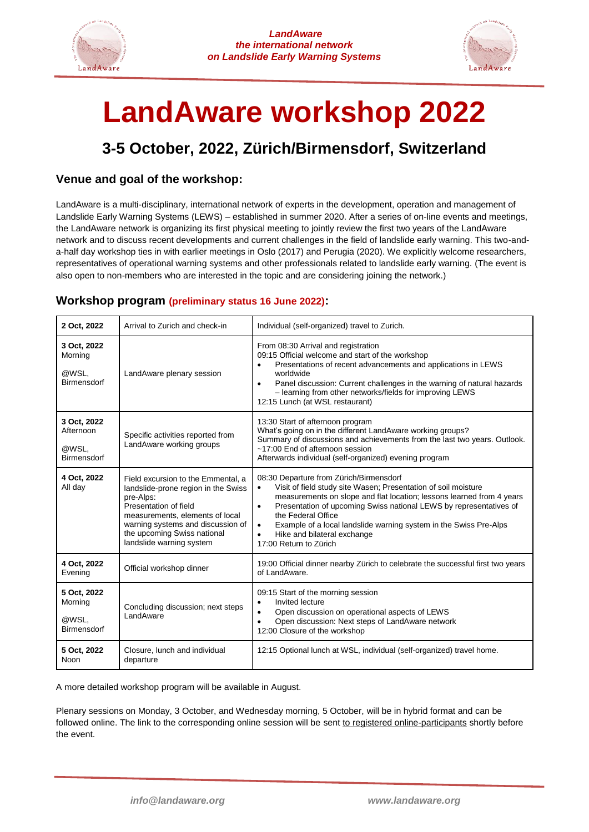



# **LandAware workshop 2022**

# **3-5 October, 2022, Zürich/Birmensdorf, Switzerland**

### **Venue and goal of the workshop:**

LandAware is a multi-disciplinary, international network of experts in the development, operation and management of Landslide Early Warning Systems (LEWS) – established in summer 2020. After a series of on-line events and meetings, the LandAware network is organizing its first physical meeting to jointly review the first two years of the LandAware network and to discuss recent developments and current challenges in the field of landslide early warning. This two-anda-half day workshop ties in with earlier meetings in Oslo (2017) and Perugia (2020). We explicitly welcome researchers, representatives of operational warning systems and other professionals related to landslide early warning. (The event is also open to non-members who are interested in the topic and are considering joining the network.)

#### **Workshop program (preliminary status 16 June 2022):**

| 2 Oct, 2022                                      | Arrival to Zurich and check-in                                                                                                                                                                                                                     | Individual (self-organized) travel to Zurich.                                                                                                                                                                                                                                                                                                                                                                                                       |
|--------------------------------------------------|----------------------------------------------------------------------------------------------------------------------------------------------------------------------------------------------------------------------------------------------------|-----------------------------------------------------------------------------------------------------------------------------------------------------------------------------------------------------------------------------------------------------------------------------------------------------------------------------------------------------------------------------------------------------------------------------------------------------|
| 3 Oct, 2022<br>Morning<br>@WSL,<br>Birmensdorf   | LandAware plenary session                                                                                                                                                                                                                          | From 08:30 Arrival and registration<br>09:15 Official welcome and start of the workshop<br>Presentations of recent advancements and applications in LEWS<br>worldwide<br>Panel discussion: Current challenges in the warning of natural hazards<br>- learning from other networks/fields for improving LEWS<br>12:15 Lunch (at WSL restaurant)                                                                                                      |
| 3 Oct, 2022<br>Afternoon<br>@WSL,<br>Birmensdorf | Specific activities reported from<br>LandAware working groups                                                                                                                                                                                      | 13:30 Start of afternoon program<br>What's going on in the different LandAware working groups?<br>Summary of discussions and achievements from the last two years. Outlook.<br>~17:00 End of afternoon session<br>Afterwards individual (self-organized) evening program                                                                                                                                                                            |
| 4 Oct. 2022<br>All day                           | Field excursion to the Emmental, a<br>landslide-prone region in the Swiss<br>pre-Alps:<br>Presentation of field<br>measurements, elements of local<br>warning systems and discussion of<br>the upcoming Swiss national<br>landslide warning system | 08:30 Departure from Zürich/Birmensdorf<br>Visit of field study site Wasen; Presentation of soil moisture<br>measurements on slope and flat location; lessons learned from 4 years<br>Presentation of upcoming Swiss national LEWS by representatives of<br>$\bullet$<br>the Federal Office<br>Example of a local landslide warning system in the Swiss Pre-Alps<br>$\bullet$<br>Hike and bilateral exchange<br>$\bullet$<br>17:00 Return to Zürich |
| 4 Oct, 2022<br>Evening                           | Official workshop dinner                                                                                                                                                                                                                           | 19:00 Official dinner nearby Zürich to celebrate the successful first two years<br>of LandAware.                                                                                                                                                                                                                                                                                                                                                    |
| 5 Oct, 2022<br>Morning<br>@WSL,<br>Birmensdorf   | Concluding discussion; next steps<br>LandAware                                                                                                                                                                                                     | 09:15 Start of the morning session<br>Invited lecture<br>$\bullet$<br>Open discussion on operational aspects of LEWS<br>Open discussion: Next steps of LandAware network<br>12:00 Closure of the workshop                                                                                                                                                                                                                                           |
| 5 Oct, 2022<br>Noon                              | Closure, lunch and individual<br>departure                                                                                                                                                                                                         | 12:15 Optional lunch at WSL, individual (self-organized) travel home.                                                                                                                                                                                                                                                                                                                                                                               |

A more detailed workshop program will be available in August.

Plenary sessions on Monday, 3 October, and Wednesday morning, 5 October, will be in hybrid format and can be followed online. The link to the corresponding online session will be sent to registered online-participants shortly before the event.